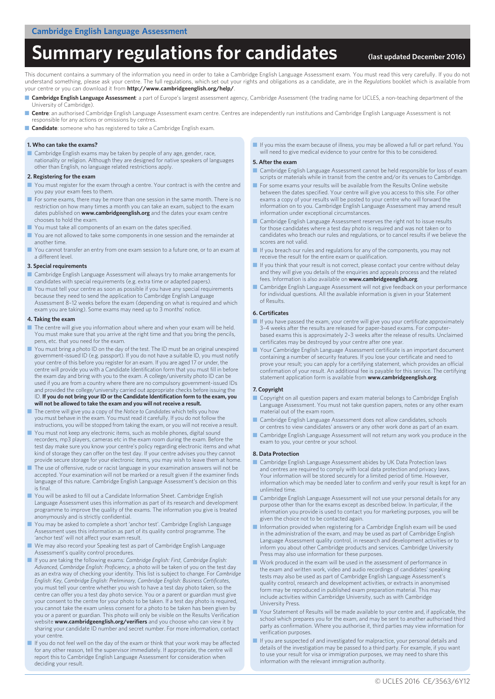# Summary regulations for candidates **(Iast updated December 2016**)

This document contains a summary of the information you need in order to take a Cambridge English Language Assessment exam. You must read this very carefully. If you do not understand something, please ask your centre. The full regulations, which set out your rights and obligations as a candidate, are in the *Regulations* booklet which is available from your centre or you can download it from **http://www.cambridgeenglish.org/help/**.

- Cambridge English Language Assessment: a part of Europe's largest assessment agency, Cambridge Assessment (the trading name for UCLES, a non-teaching department of the University of Cambridge).
- **Centre**: an authorised Cambridge English Language Assessment exam centre. Centres are independently run institutions and Cambridge English Language Assessment is not responsible for any actions or omissions by centres.
- **Candidate**: someone who has registered to take a Cambridge English exam.

### **1. Who can take the exams?**

■ Cambridge English exams may be taken by people of any age, gender, race, nationality or religion. Although they are designed for native speakers of languages other than English, no language related restrictions apply.

#### **2. Registering for the exam**

- You must register for the exam through a centre. Your contract is with the centre and you pay your exam fees to them.
- For some exams, there may be more than one session in the same month. There is no restriction on how many times a month you can take an exam, subject to the exam dates published on **www.cambridgeenglish.org** and the dates your exam centre chooses to hold the exam.
- You must take all components of an exam on the dates specified.
- You are not allowed to take some components in one session and the remainder at another time.
- You cannot transfer an entry from one exam session to a future one, or to an exam at a different level.

### **3. Special requirements**

- Cambridge English Language Assessment will always try to make arrangements for candidates with special requirements (e.g. extra time or adapted papers).
- You must tell your centre as soon as possible if you have any special requirements because they need to send the application to Cambridge English Language Assessment 8–12 weeks before the exam (depending on what is required and which exam you are taking). Some exams may need up to 3 months' notice.

### **4. Taking the exam**

- The centre will give you information about where and when your exam will be held. You must make sure that you arrive at the right time and that you bring the pencils, pens, etc. that you need for the exam.
- You must bring a photo ID on the day of the test. The ID must be an original unexpired government-issued ID (e.g. passport). If you do not have a suitable ID, you must notify your centre of this before you register for an exam. If you are aged 17 or under, the centre will provide you with a Candidate Identification form that you must fill in before the exam day and bring with you to the exam. A college/university photo ID can be used if you are from a country where there are no compulsory government-issued IDs and provided the college/university carried out appropriate checks before issuing the ID. **If you do not bring your ID or the Candidate Identification form to the exam, you will not be allowed to take the exam and you will not receive a result.**
- The centre will give you a copy of the *Notice to Candidates* which tells you how you must behave in the exam. You must read it carefully. If you do not follow the instructions, you will be stopped from taking the exam, or you will not receive a result.
- You must not keep any electronic items, such as mobile phones, digital sound recorders, mp3 players, cameras etc in the exam room during the exam. Before the test day make sure you know your centre's policy regarding electronic items and what kind of storage they can offer on the test day. If your centre advises you they cannot provide secure storage for your electronic items, you may wish to leave them at home.
- The use of offensive, rude or racist language in your examination answers will not be accepted. Your examination will not be marked or a result given if the examiner finds language of this nature. Cambridge English Language Assessment's decision on this is final.
- You will be asked to fill out a Candidate Information Sheet. Cambridge English Language Assessment uses this information as part of its research and development programme to improve the quality of the exams. The information you give is treated anonymously and is strictly confidential.
- You may be asked to complete a short 'anchor test'. Cambridge English Language Assessment uses this information as part of its quality control programme. The 'anchor test' will not affect your exam result.
- We may also record your Speaking test as part of Cambridge English Language Assessment's quality control procedures.
- If you are taking the following exams: *Cambridge English: First, Cambridge English: Advanced, Cambridge English: Proficiency*, a photo will be taken of you on the test day as an extra way of checking your identity. This list is subject to change. For *Cambridge English: Key, Cambridge English: Preliminary, Cambridge English: Business Certificates*, you must tell your centre whether you wish to have a test day photo taken, so the centre can offer you a test day photo service. You or a parent or guardian must give your consent to the centre for your photo to be taken. If a test day photo is required, you cannot take the exam unless consent for a photo to be taken has been given by you or a parent or guardian. This photo will only be visible on the Results Verification website **www.cambridgeenglish.org/verifiers** and you choose who can view it by sharing your candidate ID number and secret number. For more information, contact your centre.
- If you do not feel well on the day of the exam or think that your work may be affected for any other reason, tell the supervisor immediately. If appropriate, the centre will report this to Cambridge English Language Assessment for consideration when deciding your result.

■ If you miss the exam because of illness, you may be allowed a full or part refund. You will need to give medical evidence to your centre for this to be considered.

### **5. After the exam**

- Cambridge English Language Assessment cannot be held responsible for loss of exam scripts or materials while in transit from the centre and/or its venues to Cambridge.
- For some exams your results will be available from the Results Online website between the dates specified. Your centre will give you access to this site. For other exams a copy of your results will be posted to your centre who will forward the information on to you. Cambridge English Language Assessment may amend result information under exceptional circumstances.
- Cambridge English Language Assessment reserves the right not to issue results for those candidates where a test day photo is required and was not taken or to candidates who breach our rules and regulations, or to cancel results if we believe the scores are not valid.
- If you breach our rules and regulations for any of the components, you may not receive the result for the entire exam or qualification.
- If you think that your result is not correct, please contact your centre without delay and they will give you details of the enquiries and appeals process and the related fees. Information is also available on **www.cambridgeenglish.org**.
- Cambridge English Language Assessment will not give feedback on your performance for individual questions. All the available information is given in your Statement of Results.

#### **6. Certificates**

- If you have passed the exam, your centre will give you your certificate approximately 3–4 weeks after the results are released for paper-based exams. For computerbased exams this is approximately 2–3 weeks after the release of results. Unclaimed certificates may be destroyed by your centre after one year.
- Your Cambridge English Language Assessment certificate is an important document containing a number of security features. If you lose your certificate and need to prove your result; you can apply for a certifying statement, which provides an official confirmation of your result. An additional fee is payable for this service. The certifying statement application form is available from **www.cambridgeenglish.org**.

#### **7. Copyright**

- Copyright on all question papers and exam material belongs to Cambridge English Language Assessment. You must not take question papers, notes or any other exam material out of the exam room.
- Cambridge English Language Assessment does not allow candidates, schools or centres to view candidates' answers or any other work done as part of an exam.
- Cambridge English Language Assessment will not return any work you produce in the exam to you, your centre or your school.

### **8. Data Protection**

- Cambridge English Language Assessment abides by UK Data Protection laws and centres are required to comply with local data protection and privacy laws. Your information will be stored securely for a limited period of time. However, information which may be needed later to confirm and verify your result is kept for an unlimited time.
- Cambridge English Language Assessment will not use your personal details for any purpose other than for the exams except as described below. In particular, if the information you provide is used to contact you for marketing purposes, you will be given the choice not to be contacted again.
- Information provided when registering for a Cambridge English exam will be used in the administration of the exam, and may be used as part of Cambridge English Language Assessment quality control, in research and development activities or to inform you about other Cambridge products and services. Cambridge University Press may also use information for these purposes.
- Work produced in the exam will be used in the assessment of performance in the exam and written work, video and audio recordings of candidates' speaking the exam and whiteh work, these and duck tests may also be used as part of Cambridge English Language Assessment's quality control, research and development activities, or extracts in anonymised form may be reproduced in published exam preparation material. This may include activities within Cambridge University, such as with Cambridge University Press.
- Your Statement of Results will be made available to your centre and, if applicable, the school which prepares you for the exam, and may be sent to another authorised third party as confirmation. Where you authorise it, third parties may view information for verification purposes.
- If you are suspected of and investigated for malpractice, your personal details and details of the investigation may be passed to a third party. For example, if you want to use your result for visa or immigration purposes, we may need to share this information with the relevant immigration authority.